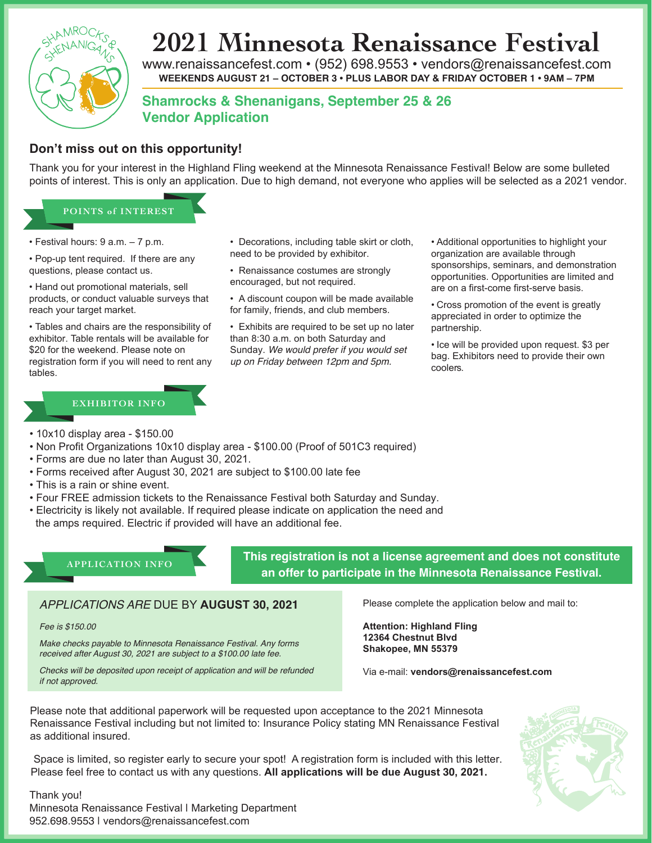

# **2021 Minnesota Renaissance Festival**

www.renaissancefest.com • (952) 698.9553 • vendors@renaissancefest.com **WEEKENDS AUGUST 21 – OCTOBER 3 • PLUS LABOR DAY & FRIDAY OCTOBER 1 • 9AM – 7PM**

**Shamrocks & Shenanigans, September 25 & 26 Vendor Application**

## **Don't miss out on this opportunity!**

Thank you for your interest in the Highland Fling weekend at the Minnesota Renaissance Festival! Below are some bulleted points of interest. This is only an application. Due to high demand, not everyone who applies will be selected as a 2021 vendor.

### **POINTS of INTEREST**

- Festival hours: 9 a.m. 7 p.m.
- Pop-up tent required. If there are any questions, please contact us.
- Hand out promotional materials, sell products, or conduct valuable surveys that reach your target market.

• Tables and chairs are the responsibility of exhibitor. Table rentals will be available for \$20 for the weekend. Please note on registration form if you will need to rent any tables.

#### **EXHIBITOR INFO**

- Decorations, including table skirt or cloth, need to be provided by exhibitor.
- Renaissance costumes are strongly encouraged, but not required.
- A discount coupon will be made available for family, friends, and club members.

• Exhibits are required to be set up no later than 8:30 a.m. on both Saturday and Sunday. *We would prefer if you would set up on Friday between 12pm and 5pm.*

• Additional opportunities to highlight your organization are available through sponsorships, seminars, and demonstration opportunities. Opportunities are limited and are on a first-come first-serve basis.

• Cross promotion of the event is greatly appreciated in order to optimize the partnership.

• Ice will be provided upon request. \$3 per bag. Exhibitors need to provide their own coolers.

- 10x10 display area \$150.00
- Non Profit Organizations 10x10 display area \$100.00 (Proof of 501C3 required)
- Forms are due no later than August 30, 2021.
- Forms received after August 30, 2021 are subject to \$100.00 late fee
- This is a rain or shine event.
- Four FREE admission tickets to the Renaissance Festival both Saturday and Sunday.
- Electricity is likely not available. If required please indicate on application the need and
- the amps required. Electric if provided will have an additional fee.

## **APPLICATION INFO**

**This registration is not a license agreement and does not constitute an offer to participate in the Minnesota Renaissance Festival.**

#### *APPLICATIONS ARE* DUE BY **AUGUST 30, 2021**

#### *Fee is \$150.00*

*Make checks payable to Minnesota Renaissance Festival. Any forms received after August 30, 2021 are subject to a \$100.00 late fee.* 

*Checks will be deposited upon receipt of application and will be refunded if not approved.*

Please complete the application below and mail to:

**Attention: Highland Fling 12364 Chestnut Blvd Shakopee, MN 55379**

Via e-mail: **vendors@renaissancefest.com**

Please note that additional paperwork will be requested upon acceptance to the 2021 Minnesota Renaissance Festival including but not limited to: Insurance Policy stating MN Renaissance Festival as additional insured.

Space is limited, so register early to secure your spot! A registration form is included with this letter. Please feel free to contact us with any questions. **All applications will be due August 30, 2021.**

Thank you! Minnesota Renaissance Festival I Marketing Department 952.698.9553 | vendors@renaissancefest.com